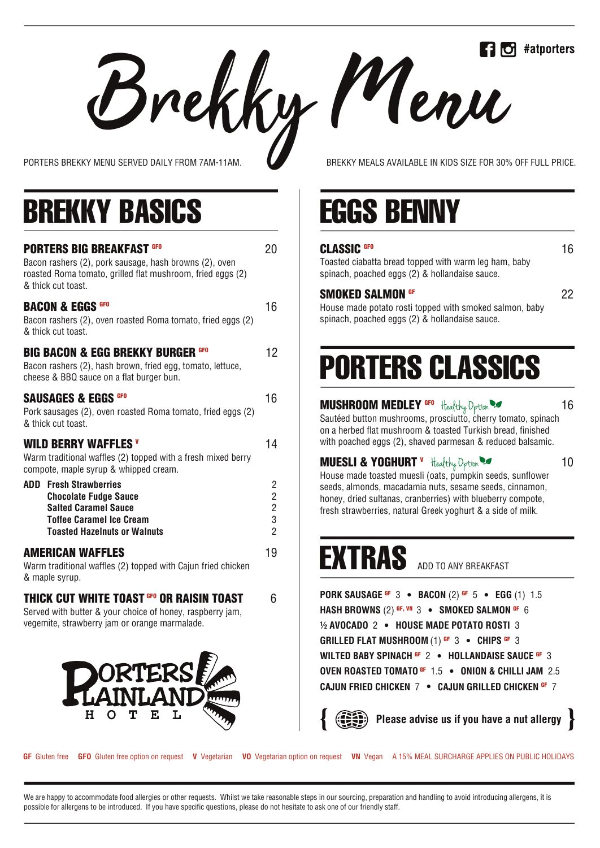**Brekky MENU SERVED DAILY FROM 7AM-11AM.** BREKKY MEALS AVAILABLE IN KIDS SIZE FOR 30% OFF FULL PRICE.

## BREKKY BASICS THE EGGS BENNY

| <b>PORTERS BIG BREAKFAST GFO</b><br>Bacon rashers (2), pork sausage, hash browns (2), oven<br>roasted Roma tomato, grilled flat mushroom, fried eggs (2)<br>& thick cut toast. | 20                                                              |
|--------------------------------------------------------------------------------------------------------------------------------------------------------------------------------|-----------------------------------------------------------------|
| <b>BACON &amp; EGGS GFO</b><br>Bacon rashers (2), oven roasted Roma tomato, fried eggs (2)<br>& thick cut toast.                                                               | 16                                                              |
| <b>BIG BACON &amp; EGG BREKKY BURGER GFO</b><br>Bacon rashers (2), hash brown, fried egg, tomato, lettuce,<br>cheese & BBQ sauce on a flat burger bun.                         | 12                                                              |
| <b>SAUSAGES &amp; EGGS GFO</b><br>Pork sausages (2), oven roasted Roma tomato, fried eggs (2)<br>& thick cut toast.                                                            | 16                                                              |
| <b>WILD BERRY WAFFLES V</b><br>Warm traditional waffles (2) topped with a fresh mixed berry<br>compote, maple syrup & whipped cream.                                           | 14                                                              |
| <b>ADD</b> Fresh Strawberries<br><b>Chocolate Fudge Sauce</b><br><b>Salted Caramel Sauce</b><br><b>Toffee Caramel Ice Cream</b><br><b>Toasted Hazelnuts or Walnuts</b>         | 2<br>$\overline{\mathbf{c}}$<br>$\frac{2}{3}$<br>$\overline{2}$ |
| <b>AMERICAN WAFFLES</b><br>Warm traditional waffles (2) topped with Cajun fried chicken<br>& maple syrup.                                                                      | 19                                                              |
| <b>THICK CUT WHITE TOAST <sup>GFO</sup> OR RAISIN TOAST</b><br>Served with butter & your choice of honey, raspberry jam,<br>vegemite, strawberry jam or orange marmalade.      | 6                                                               |
| <b>PORTERS!</b><br>LAINLAND                                                                                                                                                    |                                                                 |

 $H$  O

т

E

L

### **CLASSIC** <sup>GFO</sup> 16

Toasted ciabatta bread topped with warm leg ham, baby spinach, poached eggs (2) & hollandaise sauce.

#### **SMOKED SALMON <sup>GF</sup>** 22

House made potato rosti topped with smoked salmon, baby spinach, poached eggs (2) & hollandaise sauce.

# PORTERS CLASSICS

**MUSHROOM MEDLEY <sup>GFO</sup> Healthy Option <b>M** 16

Sautéed button mushrooms, prosciutto, cherry tomato, spinach on a herbed flat mushroom & toasted Turkish bread, finished with poached eggs (2), shaved parmesan & reduced balsamic.

## **MUESLI & YOGHURT "** Healthy Dptidr **M** 10

House made toasted muesli (oats, pumpkin seeds, sunflower seeds, almonds, macadamia nuts, sesame seeds, cinnamon, honey, dried sultanas, cranberries) with blueberry compote, fresh strawberries, natural Greek yoghurt & a side of milk.

## EXTRAS ADD TO ANY BREAKFAST

**PORK SAUSAGE <sup>GF</sup>**  $\,$  **3**  $\,$  $\bullet$  $\,$  **<b>BACON** (2) <sup>GF</sup>  $\,$  5  $\,$   $\bullet$   $\,$   $\,$  **EGG** (1)  $\,$  1.5 <code>HASH BROWNS</code> (2) <sup>GF, VN</sup>  $\,$  3  $\,$   $\bullet$  <code>SMOKED SALMON</code> <sup>GF</sup>  $\,$  6 **1/2 AVOCADO 2 · HOUSE MADE POTATO ROSTI 3 GRILLED FLAT MUSHROOM (1) <sup>of</sup> 3**  $\bullet$  **chips <sup>of</sup> 3 WILTED BABY SPINACH <sup>of</sup> 2 • HOLLANDAISE SAUCE <sup>of</sup> 3 OVEN ROASTED TOMATO<sup> of</sup> 1.5 · ONION & CHILLI JAM** 2.5 **CAJUN FRIED CHICKEN 7 • CAJUN GRILLED CHICKEN <sup>GF</sup> 7** 

**Please advise us if you have a nut allergy**

**GF** Gluten free **GFO** Gluten free option on request **V** Vegetarian **VO** Vegetarian option on request **VN** Vegan A 15% MEAL SURCHARGE APPLIES ON PUBLIC HOLIDAYS

We are happy to accommodate food allergies or other requests. Whilst we take reasonable steps in our sourcing, preparation and handling to avoid introducing allergens, it is possible for allergens to be introduced. If you have specific questions, please do not hesitate to ask one of our friendly staff.